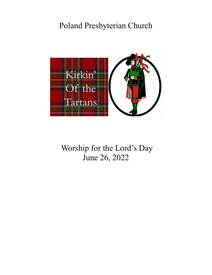# Poland Presbyterian Church



Worship for the Lord's Day June 26, 2022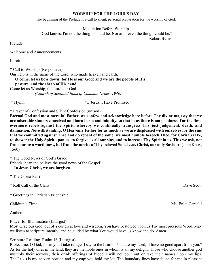## **WORSHIP FOR THE LORD'S DAY**

The beginning of the Prelude is a call to silent, personal preparation for the worship of God.

Meditation Before Worship

["God knows, I'm not the thing I should be, Nor am I even the thing I could be."](http://www.azquotes.com/quote/1151124)

[Robert Burns](http://www.azquotes.com/author/2208-Robert_Burns)

Prelude

Welcome and Announcements

Introit

\* Call to Worship (Responsive)

Our help is in the name of the Lord, who made heaven and earth.

# **O come, let us bow down; for He is our God; and we are the people of His**

 **pasture, and the sheep of His hand.**

Come let us Worship, the Lord our God.

*(Church of Scotland Book of Common Order, 1940)*

\* Hymn "O Jesus, I Have Promised"

\* Prayer of Confession and Silent Confession (unison)

**Eternal God and most merciful Father, we confess and acknowledge here before Thy divine majesty that we are miserable sinners conceived and born in sin and iniquity, so that in us there is not goodness. For the flesh evermore rebels against the Spirit, whereby we continually transgress Thy just judgement, death, and damnation. Notwithstanding, O Heavenly Father for as much as we are displeased with ourselves for the sins that we committed against Thee and do repent of the same; we most humble beseech Thee, for Christ's sake, to shower the Holy Spirit upon us, to forgive us all our sins, and to increase Thy Spirit in us. This we ask, not from our own worthiness, but from the merits of Thy beloved Son, Jesus Christ, our only Saviour.** (John Knox, 1560)

\* The Good News of God's Grace Friends, hear and believe the good news of the Gospel!

**In Jesus Christ, we are forgiven.**

- \* The Gloria Patri
- \* Roll Call of the Clans Dave Scott **Dave Scott**
- \* Greetings in Christian Friendship

Anthem

Prayer for Illumination (Liturgist)

Most Gracious God, out of Your great love and wisdom, You have bestowed upon us Thy most precious Word. May we listen to scripture intently, and be guided by what You would have us know and do. Amen.

# Scripture Reading Psalm 16 (Liturgist)

Protect me, O God, for in you I take refuge. I say to the LORD, "You are my Lord; I have no good apart from you." As for the holy ones in the land, they are the noble ones in whom is all my delight. Those who choose another god multiply their sorrows; their drink offerings of blood I will not pour out or take their names upon my lips. The LORD is my chosen portion and my cup; you hold my lot. The boundary lines have fallen for me in pleasant

Children's Time Ms. Erika Carcelli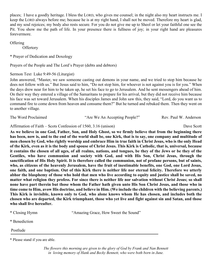places; I have a goodly heritage. I bless the LORD, who gives me counsel; in the night also my heart instructs me. I keep the LORD always before me; because he is at my right hand, I shall not be moved. Therefore my heart is glad, and my soul rejoices; my body also rests secure. For you do not give me up to Sheol or let your faithful one see the Pit. You show me the path of life. In your presence there is fullness of joy; in your right hand are pleasures forevermore.

**Offering** 

**Offertory** 

\* Prayer of Dedication and Doxology

Prayers of the People and The Lord's Prayer (debts and debtors)

Sermon Text Luke 9:49-56 (Liturgist)

John answered, "Master, we saw someone casting out demons in your name, and we tried to stop him because he does not follow with us." But Jesus said to him, "Do not stop him, for whoever is not against you is for you." When the days drew near for him to be taken up, he set his face to go to Jerusalem. And he sent messengers ahead of him. On their way they entered a village of the Samaritans to prepare for his arrival, but they did not receive him because his face was set toward Jerusalem. When his disciples James and John saw this, they said, "Lord, do you want us to command fire to come down from heaven and consume them?" But he turned and rebuked them. Then they went on to another village.

| The Word Proclaimed | "Are We An Accepting People?" | Rev. Paul W. Anderson |
|---------------------|-------------------------------|-----------------------|
|                     |                               |                       |

Affirmation of Faith – Scots Confession of 1560, 3.16 (unison) Dave Scott

**As we believe in one God, Father, Son, and Holy Ghost, so we firmly believe that from the beginning there has been, now is, and to the end of the world shall be, one Kirk, that is to say, one company and multitude of men chosen by God, who rightly worship and embrace Him in true faith in Christ Jesus, who is the only Head of the Kirk, even as it is the body and spouse of Christ Jesus. This Kirk is Catholic, that is, universal, because it contains the chosen of all ages, of all realms, nations, and tongues, be they of the Jews or be they of the Gentiles, who have communion and society with God, and with His Son, Christ Jesus, through the sanctification of His Holy Spirit. It is therefore called the communion, not of profane persons, but of saints, who, as citizens of the heavenly Jerusalem, have the fruit of inestimable benefits, one God, one Lord Jesus, one faith, and one baptism. Out of this Kirk there is neither life nor eternal felicity. Therefore we utterly abhor the blasphemy of those who hold that men who live according to equity and justice shall be saved, no matter what religion they profess. For since there is neither life nor salvation without Christ Jesus; so shall none have part therein but those whom the Father hath given unto His Son Christ Jesus, and those who in time come to Him, avow His doctrine, and believe in Him. (We include the children with the believing parents.) This Kirk is invisible, known only to God, who alone knows whom He has chosen, and includes both the chosen who are departed, the Kirk triumphant, those who yet live and fight against sin and Satan, and those who shall live hereafter.**

\* Closing Hymn "Amazing Grace, How Sweet the Sound"

\* Benediction

Postlude

\* Please stand if you are able.

*The flowers this morning are given to the glory of God by Frank and Nan Bennett in loving memory of Hank and Becky Bennett, who were both born in June.*